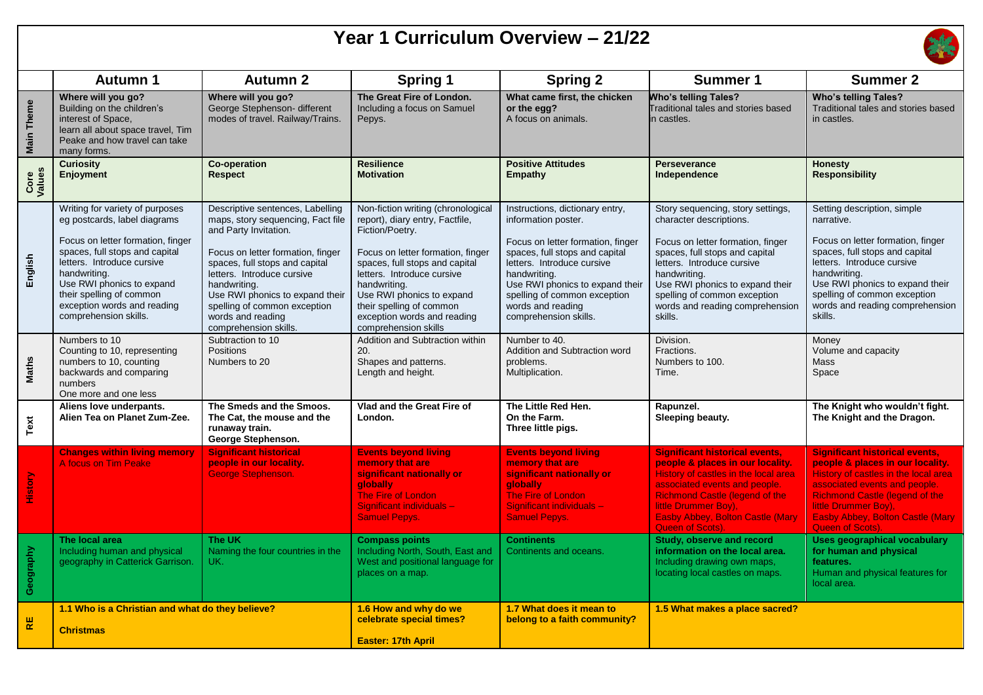## **Year 1 Curriculum Overview – 21/22**



|                   | <b>Autumn 1</b>                                                                                                                                                                                                                                                                                       | <b>Autumn 2</b>                                                                                                                                                                                                                                                                                                                      | <b>Spring 1</b>                                                                                                                                                                                                                                                                                                               | <b>Spring 2</b>                                                                                                                                                                                                                                                                              | <b>Summer 1</b>                                                                                                                                                                                                                                                                                    | <b>Summer 2</b>                                                                                                                                                                                                                                                                    |
|-------------------|-------------------------------------------------------------------------------------------------------------------------------------------------------------------------------------------------------------------------------------------------------------------------------------------------------|--------------------------------------------------------------------------------------------------------------------------------------------------------------------------------------------------------------------------------------------------------------------------------------------------------------------------------------|-------------------------------------------------------------------------------------------------------------------------------------------------------------------------------------------------------------------------------------------------------------------------------------------------------------------------------|----------------------------------------------------------------------------------------------------------------------------------------------------------------------------------------------------------------------------------------------------------------------------------------------|----------------------------------------------------------------------------------------------------------------------------------------------------------------------------------------------------------------------------------------------------------------------------------------------------|------------------------------------------------------------------------------------------------------------------------------------------------------------------------------------------------------------------------------------------------------------------------------------|
| <b>Main Theme</b> | Where will you go?<br>Building on the children's<br>interest of Space,<br>learn all about space travel, Tim<br>Peake and how travel can take<br>many forms.                                                                                                                                           | Where will you go?<br>George Stephenson- different<br>modes of travel. Railway/Trains.                                                                                                                                                                                                                                               | The Great Fire of London.<br>Including a focus on Samuel<br>Pepys.                                                                                                                                                                                                                                                            | What came first, the chicken<br>or the egg?<br>A focus on animals.                                                                                                                                                                                                                           | <b>Who's telling Tales?</b><br>Traditional tales and stories based<br>in castles.                                                                                                                                                                                                                  | <b>Who's telling Tales?</b><br>Traditional tales and stories based<br>in castles.                                                                                                                                                                                                  |
| Core<br>Values    | <b>Curiosity</b><br><b>Enjoyment</b>                                                                                                                                                                                                                                                                  | <b>Co-operation</b><br><b>Respect</b>                                                                                                                                                                                                                                                                                                | <b>Resilience</b><br><b>Motivation</b>                                                                                                                                                                                                                                                                                        | <b>Positive Attitudes</b><br><b>Empathy</b>                                                                                                                                                                                                                                                  | Perseverance<br>Independence                                                                                                                                                                                                                                                                       | <b>Honesty</b><br><b>Responsibility</b>                                                                                                                                                                                                                                            |
| English           | Writing for variety of purposes<br>eg postcards, label diagrams<br>Focus on letter formation, finger<br>spaces, full stops and capital<br>letters. Introduce cursive<br>handwriting.<br>Use RWI phonics to expand<br>their spelling of common<br>exception words and reading<br>comprehension skills. | Descriptive sentences, Labelling<br>maps, story sequencing, Fact file<br>and Party Invitation.<br>Focus on letter formation, finger<br>spaces, full stops and capital<br>letters. Introduce cursive<br>handwriting.<br>Use RWI phonics to expand their<br>spelling of common exception<br>words and reading<br>comprehension skills. | Non-fiction writing (chronological<br>report), diary entry, Factfile,<br>Fiction/Poetry.<br>Focus on letter formation, finger<br>spaces, full stops and capital<br>letters. Introduce cursive<br>handwriting.<br>Use RWI phonics to expand<br>their spelling of common<br>exception words and reading<br>comprehension skills | Instructions, dictionary entry,<br>information poster.<br>Focus on letter formation, finger<br>spaces, full stops and capital<br>letters. Introduce cursive<br>handwriting.<br>Use RWI phonics to expand their<br>spelling of common exception<br>words and reading<br>comprehension skills. | Story sequencing, story settings,<br>character descriptions.<br>Focus on letter formation, finger<br>spaces, full stops and capital<br>letters. Introduce cursive<br>handwriting.<br>Use RWI phonics to expand their<br>spelling of common exception<br>words and reading comprehension<br>skills. | Setting description, simple<br>narrative.<br>Focus on letter formation, finger<br>spaces, full stops and capital<br>letters. Introduce cursive<br>handwriting.<br>Use RWI phonics to expand their<br>spelling of common exception<br>words and reading comprehension<br>skills.    |
| Maths             | Numbers to 10<br>Counting to 10, representing<br>numbers to 10, counting<br>backwards and comparing<br>numbers<br>One more and one less                                                                                                                                                               | Subtraction to 10<br><b>Positions</b><br>Numbers to 20                                                                                                                                                                                                                                                                               | <b>Addition and Subtraction within</b><br>20.<br>Shapes and patterns.<br>Length and height.                                                                                                                                                                                                                                   | Number to 40.<br>Addition and Subtraction word<br>problems.<br>Multiplication.                                                                                                                                                                                                               | Division.<br>Fractions.<br>Numbers to 100.<br>Time.                                                                                                                                                                                                                                                | Money<br>Volume and capacity<br>Mass<br>Space                                                                                                                                                                                                                                      |
| Text              | Aliens love underpants.<br>Alien Tea on Planet Zum-Zee.                                                                                                                                                                                                                                               | The Smeds and the Smoos.<br>The Cat, the mouse and the<br>runaway train.<br>George Stephenson.                                                                                                                                                                                                                                       | Vlad and the Great Fire of<br>London.                                                                                                                                                                                                                                                                                         | The Little Red Hen.<br>On the Farm.<br>Three little pigs.                                                                                                                                                                                                                                    | Rapunzel.<br>Sleeping beauty.                                                                                                                                                                                                                                                                      | The Knight who wouldn't fight.<br>The Knight and the Dragon.                                                                                                                                                                                                                       |
| History           | <b>Changes within living memory</b><br>A focus on Tim Peake                                                                                                                                                                                                                                           | <b>Significant historical</b><br>people in our locality.<br>George Stephenson.                                                                                                                                                                                                                                                       | <b>Events beyond living</b><br>memory that are<br>significant nationally or<br><b>globally</b><br><b>The Fire of London</b><br>Significant individuals -<br><b>Samuel Pepys.</b>                                                                                                                                              | <b>Events beyond living</b><br>memory that are<br>significant nationally or<br>qlobally<br><b>The Fire of London</b><br>Significant individuals -<br><b>Samuel Pepys.</b>                                                                                                                    | <b>Significant historical events,</b><br>people & places in our locality.<br>History of castles in the local area<br>associated events and people.<br><b>Richmond Castle (legend of the</b><br>little Drummer Boy).<br><b>Easby Abbey, Bolton Castle (Mary</b><br>Queen of Scots).                 | <b>Significant historical events,</b><br>people & places in our locality.<br>History of castles in the local area<br>associated events and people.<br><b>Richmond Castle (legend of the</b><br>little Drummer Boy).<br><b>Easby Abbey, Bolton Castle (Mary</b><br>Queen of Scots). |
| Geography         | The local area<br>Including human and physical<br>geography in Catterick Garrison.                                                                                                                                                                                                                    | The UK<br>Naming the four countries in the<br>UK.                                                                                                                                                                                                                                                                                    | <b>Compass points</b><br>Including North, South, East and<br>West and positional language for<br>places on a map.                                                                                                                                                                                                             | <b>Continents</b><br>Continents and oceans.                                                                                                                                                                                                                                                  | Study, observe and record<br>information on the local area.<br>Including drawing own maps,<br>locating local castles on maps.                                                                                                                                                                      | <b>Uses geographical vocabulary</b><br>for human and physical<br>features.<br>Human and physical features for<br>local area.                                                                                                                                                       |
| $\mathsf{RE}$     | 1.1 Who is a Christian and what do they believe?<br><b>Christmas</b>                                                                                                                                                                                                                                  |                                                                                                                                                                                                                                                                                                                                      | 1.6 How and why do we<br>celebrate special times?<br><b>Easter: 17th April</b>                                                                                                                                                                                                                                                | 1.7 What does it mean to<br>belong to a faith community?                                                                                                                                                                                                                                     | 1.5 What makes a place sacred?                                                                                                                                                                                                                                                                     |                                                                                                                                                                                                                                                                                    |